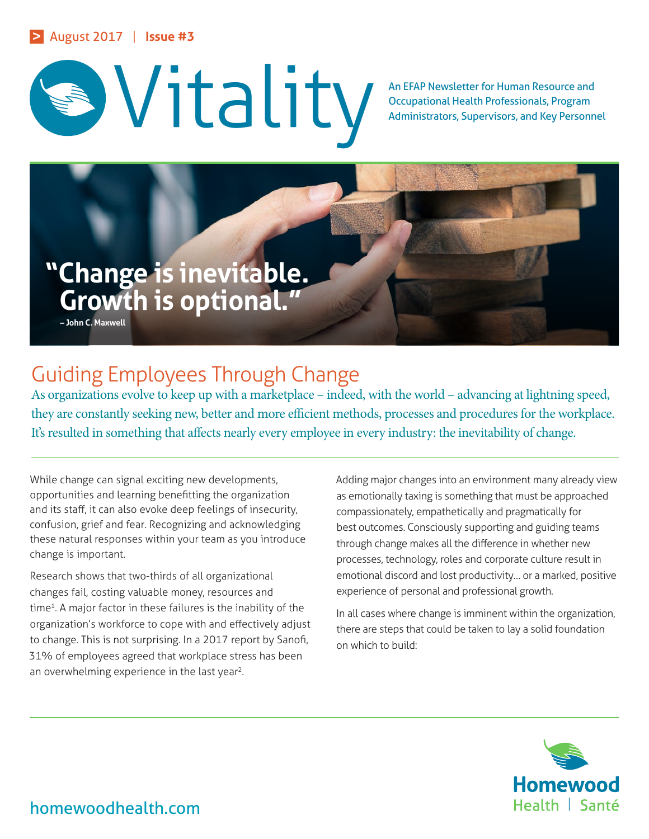



Occupational Health Professionals, Program Administrators, Supervisors, and Key Personnel



# Guiding Employees Through Change

As organizations evolve to keep up with a marketplace – indeed, with the world – advancing at lightning speed, they are constantly seeking new, better and more efficient methods, processes and procedures for the workplace. It's resulted in something that affects nearly every employee in every industry: the inevitability of change.

While change can signal exciting new developments, opportunities and learning benefitting the organization and its staff, it can also evoke deep feelings of insecurity, confusion, grief and fear. Recognizing and acknowledging these natural responses within your team as you introduce change is important.

Research shows that two-thirds of all organizational changes fail, costing valuable money, resources and time<sup>1</sup>. A major factor in these failures is the inability of the organization's workforce to cope with and effectively adjust to change. This is not surprising. In a 2017 report by Sanofi, 31% of employees agreed that workplace stress has been an overwhelming experience in the last year<sup>2</sup>.

Adding major changes into an environment many already view as emotionally taxing is something that must be approached compassionately, empathetically and pragmatically for best outcomes. Consciously supporting and guiding teams through change makes all the difference in whether new processes, technology, roles and corporate culture result in emotional discord and lost productivity… or a marked, positive experience of personal and professional growth.

In all cases where change is imminent within the organization, there are steps that could be taken to lay a solid foundation on which to build:



homewoodhealth.com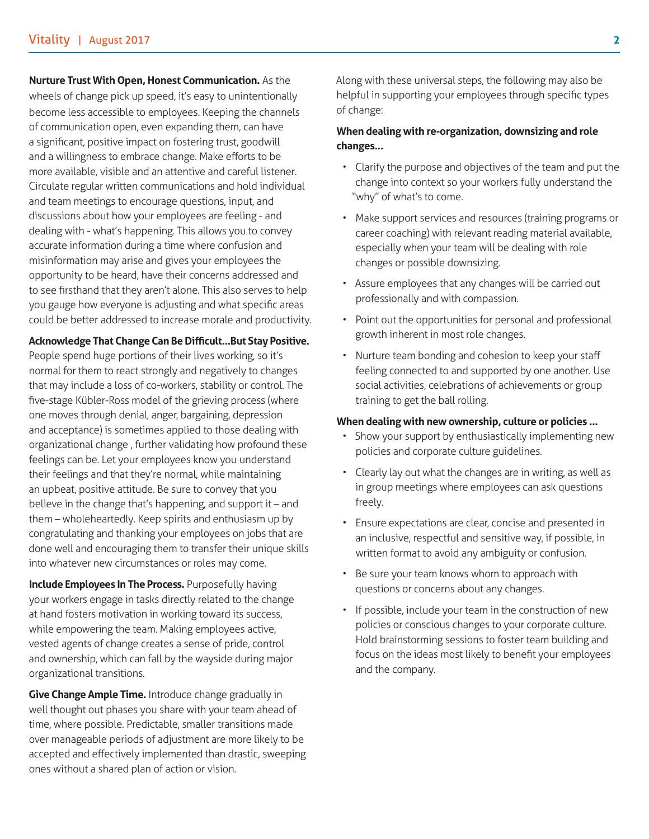### **Nurture Trust With Open, Honest Communication.** As the

wheels of change pick up speed, it's easy to unintentionally become less accessible to employees. Keeping the channels of communication open, even expanding them, can have a significant, positive impact on fostering trust, goodwill and a willingness to embrace change. Make efforts to be more available, visible and an attentive and careful listener. Circulate regular written communications and hold individual and team meetings to encourage questions, input, and discussions about how your employees are feeling - and dealing with - what's happening. This allows you to convey accurate information during a time where confusion and misinformation may arise and gives your employees the opportunity to be heard, have their concerns addressed and to see firsthand that they aren't alone. This also serves to help you gauge how everyone is adjusting and what specific areas could be better addressed to increase morale and productivity.

#### **Acknowledge That Change Can Be Difficult…But Stay Positive.**

People spend huge portions of their lives working, so it's normal for them to react strongly and negatively to changes that may include a loss of co-workers, stability or control. The five-stage Kübler-Ross model of the grieving process (where one moves through denial, anger, bargaining, depression and acceptance) is sometimes applied to those dealing with organizational change , further validating how profound these feelings can be. Let your employees know you understand their feelings and that they're normal, while maintaining an upbeat, positive attitude. Be sure to convey that you believe in the change that's happening, and support it – and them – wholeheartedly. Keep spirits and enthusiasm up by congratulating and thanking your employees on jobs that are done well and encouraging them to transfer their unique skills into whatever new circumstances or roles may come.

**Include Employees In The Process.** Purposefully having your workers engage in tasks directly related to the change at hand fosters motivation in working toward its success, while empowering the team. Making employees active, vested agents of change creates a sense of pride, control and ownership, which can fall by the wayside during major organizational transitions.

**Give Change Ample Time.** Introduce change gradually in well thought out phases you share with your team ahead of time, where possible. Predictable, smaller transitions made over manageable periods of adjustment are more likely to be accepted and effectively implemented than drastic, sweeping ones without a shared plan of action or vision.

Along with these universal steps, the following may also be helpful in supporting your employees through specific types of change:

### **When dealing with re-organization, downsizing and role changes…**

- Clarify the purpose and objectives of the team and put the change into context so your workers fully understand the "why" of what's to come.
- Make support services and resources (training programs or career coaching) with relevant reading material available, especially when your team will be dealing with role changes or possible downsizing.
- Assure employees that any changes will be carried out professionally and with compassion.
- Point out the opportunities for personal and professional growth inherent in most role changes.
- Nurture team bonding and cohesion to keep your staff feeling connected to and supported by one another. Use social activities, celebrations of achievements or group training to get the ball rolling.

#### **When dealing with new ownership, culture or policies …**

- Show your support by enthusiastically implementing new policies and corporate culture guidelines.
- Clearly lay out what the changes are in writing, as well as in group meetings where employees can ask questions freely.
- Ensure expectations are clear, concise and presented in an inclusive, respectful and sensitive way, if possible, in written format to avoid any ambiguity or confusion.
- Be sure your team knows whom to approach with questions or concerns about any changes.
- If possible, include your team in the construction of new policies or conscious changes to your corporate culture. Hold brainstorming sessions to foster team building and focus on the ideas most likely to benefit your employees and the company.